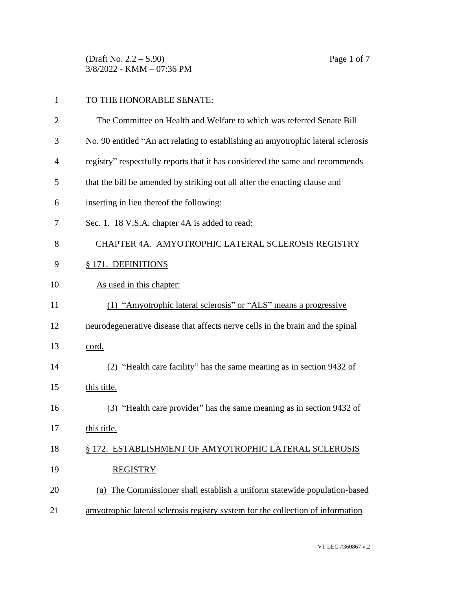(Draft No. 2.2 – S.90) Page 1 of 7 3/8/2022 - KMM – 07:36 PM

| 1              | TO THE HONORABLE SENATE:                                                          |  |
|----------------|-----------------------------------------------------------------------------------|--|
| $\overline{2}$ | The Committee on Health and Welfare to which was referred Senate Bill             |  |
| 3              | No. 90 entitled "An act relating to establishing an amyotrophic lateral sclerosis |  |
| $\overline{4}$ | registry" respectfully reports that it has considered the same and recommends     |  |
| 5              | that the bill be amended by striking out all after the enacting clause and        |  |
| 6              | inserting in lieu thereof the following:                                          |  |
| 7              | Sec. 1. 18 V.S.A. chapter 4A is added to read:                                    |  |
| 8              | CHAPTER 4A. AMYOTROPHIC LATERAL SCLEROSIS REGISTRY                                |  |
| 9              | § 171. DEFINITIONS                                                                |  |
| 10             | As used in this chapter:                                                          |  |
| 11             | (1) "Amyotrophic lateral sclerosis" or "ALS" means a progressive                  |  |
| 12             | neurodegenerative disease that affects nerve cells in the brain and the spinal    |  |
| 13             | cord.                                                                             |  |
| 14             | (2) "Health care facility" has the same meaning as in section 9432 of             |  |
| 15             | this title.                                                                       |  |
| 16             | (3) "Health care provider" has the same meaning as in section 9432 of             |  |
| 17             | this title.                                                                       |  |
| 18             | § 172. ESTABLISHMENT OF AMYOTROPHIC LATERAL SCLEROSIS                             |  |
| 19             | <b>REGISTRY</b>                                                                   |  |
| 20             | (a) The Commissioner shall establish a uniform statewide population-based         |  |
| 21             | amyotrophic lateral sclerosis registry system for the collection of information   |  |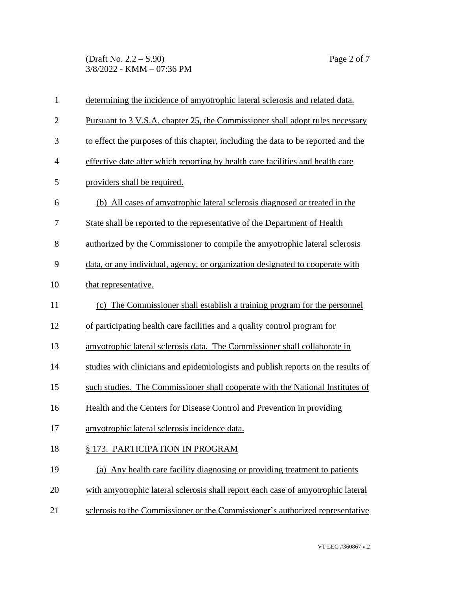(Draft No. 2.2 – S.90) Page 2 of 7 3/8/2022 - KMM – 07:36 PM

| $\mathbf{1}$   | determining the incidence of amyotrophic lateral sclerosis and related data.      |  |
|----------------|-----------------------------------------------------------------------------------|--|
| $\overline{2}$ | Pursuant to 3 V.S.A. chapter 25, the Commissioner shall adopt rules necessary     |  |
| 3              | to effect the purposes of this chapter, including the data to be reported and the |  |
| $\overline{4}$ | effective date after which reporting by health care facilities and health care    |  |
| 5              | providers shall be required.                                                      |  |
| 6              | (b) All cases of amyotrophic lateral sclerosis diagnosed or treated in the        |  |
| 7              | State shall be reported to the representative of the Department of Health         |  |
| 8              | authorized by the Commissioner to compile the amyotrophic lateral sclerosis       |  |
| 9              | data, or any individual, agency, or organization designated to cooperate with     |  |
| 10             | that representative.                                                              |  |
| 11             | (c) The Commissioner shall establish a training program for the personnel         |  |
| 12             | of participating health care facilities and a quality control program for         |  |
| 13             | amyotrophic lateral sclerosis data. The Commissioner shall collaborate in         |  |
| 14             | studies with clinicians and epidemiologists and publish reports on the results of |  |
| 15             | such studies. The Commissioner shall cooperate with the National Institutes of    |  |
| 16             | Health and the Centers for Disease Control and Prevention in providing            |  |
| 17             | amyotrophic lateral sclerosis incidence data.                                     |  |
| 18             | § 173. PARTICIPATION IN PROGRAM                                                   |  |
| 19             | (a) Any health care facility diagnosing or providing treatment to patients        |  |
| 20             | with amyotrophic lateral sclerosis shall report each case of amyotrophic lateral  |  |
| 21             | sclerosis to the Commissioner or the Commissioner's authorized representative     |  |
|                |                                                                                   |  |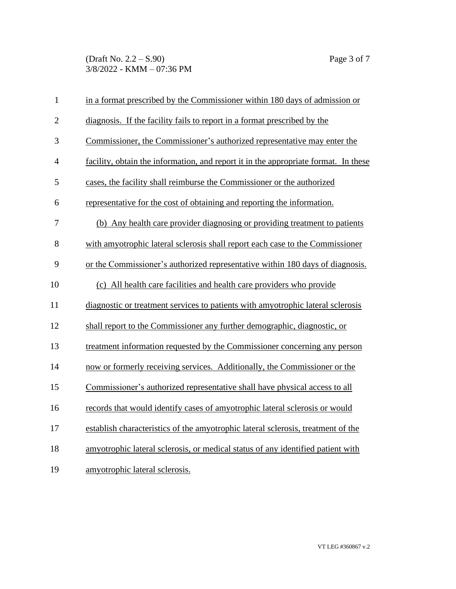(Draft No. 2.2 – S.90) Page 3 of 7 3/8/2022 - KMM – 07:36 PM

| $\mathbf{1}$   | in a format prescribed by the Commissioner within 180 days of admission or          |  |
|----------------|-------------------------------------------------------------------------------------|--|
| $\overline{2}$ | diagnosis. If the facility fails to report in a format prescribed by the            |  |
| 3              | Commissioner, the Commissioner's authorized representative may enter the            |  |
| $\overline{4}$ | facility, obtain the information, and report it in the appropriate format. In these |  |
| 5              | cases, the facility shall reimburse the Commissioner or the authorized              |  |
| 6              | representative for the cost of obtaining and reporting the information.             |  |
| 7              | (b) Any health care provider diagnosing or providing treatment to patients          |  |
| 8              | with amyotrophic lateral sclerosis shall report each case to the Commissioner       |  |
| 9              | or the Commissioner's authorized representative within 180 days of diagnosis.       |  |
| 10             | (c) All health care facilities and health care providers who provide                |  |
| 11             | diagnostic or treatment services to patients with amyotrophic lateral sclerosis     |  |
| 12             | shall report to the Commissioner any further demographic, diagnostic, or            |  |
| 13             | treatment information requested by the Commissioner concerning any person           |  |
| 14             | now or formerly receiving services. Additionally, the Commissioner or the           |  |
| 15             | Commissioner's authorized representative shall have physical access to all          |  |
| 16             | records that would identify cases of amyotrophic lateral sclerosis or would         |  |
| 17             | establish characteristics of the amyotrophic lateral sclerosis, treatment of the    |  |
| 18             | amyotrophic lateral sclerosis, or medical status of any identified patient with     |  |
| 19             | amyotrophic lateral sclerosis.                                                      |  |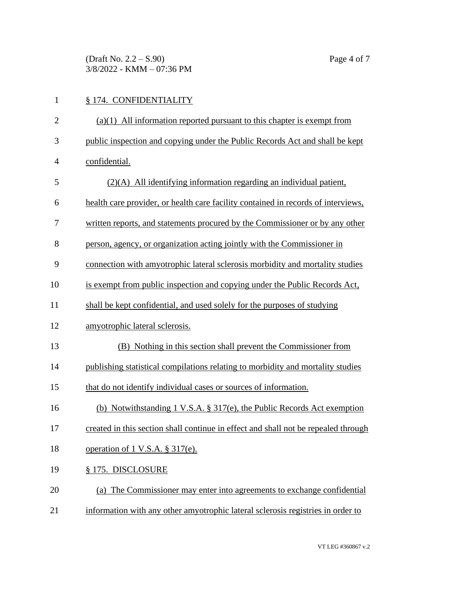(Draft No.  $2.2 - S.90$ ) Page 4 of 7 3/8/2022 - KMM – 07:36 PM

## § 174. CONFIDENTIALITY (a)(1) All information reported pursuant to this chapter is exempt from public inspection and copying under the Public Records Act and shall be kept confidential. (2)(A) All identifying information regarding an individual patient, health care provider, or health care facility contained in records of interviews, written reports, and statements procured by the Commissioner or by any other person, agency, or organization acting jointly with the Commissioner in connection with amyotrophic lateral sclerosis morbidity and mortality studies is exempt from public inspection and copying under the Public Records Act, shall be kept confidential, and used solely for the purposes of studying amyotrophic lateral sclerosis. (B) Nothing in this section shall prevent the Commissioner from publishing statistical compilations relating to morbidity and mortality studies that do not identify individual cases or sources of information. (b) Notwithstanding 1 V.S.A. § 317(e), the Public Records Act exemption created in this section shall continue in effect and shall not be repealed through operation of 1 V.S.A. § 317(e). § 175. DISCLOSURE (a) The Commissioner may enter into agreements to exchange confidential

information with any other amyotrophic lateral sclerosis registries in order to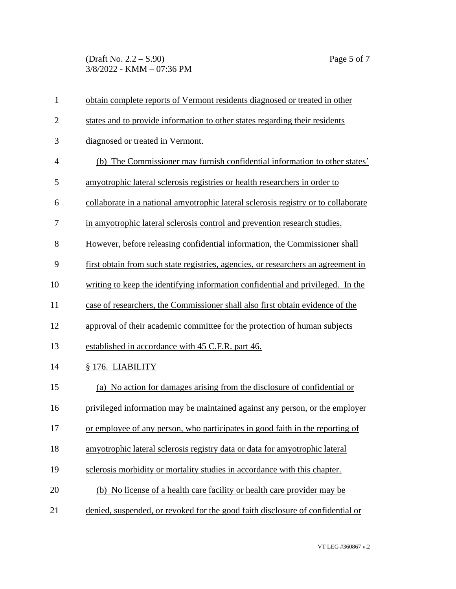(Draft No. 2.2 – S.90) Page 5 of 7 3/8/2022 - KMM – 07:36 PM

| $\mathbf{1}$   | obtain complete reports of Vermont residents diagnosed or treated in other         |  |
|----------------|------------------------------------------------------------------------------------|--|
| $\overline{2}$ | states and to provide information to other states regarding their residents        |  |
| 3              | diagnosed or treated in Vermont.                                                   |  |
| $\overline{4}$ | (b) The Commissioner may furnish confidential information to other states'         |  |
| 5              | amyotrophic lateral sclerosis registries or health researchers in order to         |  |
| 6              | collaborate in a national amyotrophic lateral sclerosis registry or to collaborate |  |
| 7              | in amyotrophic lateral sclerosis control and prevention research studies.          |  |
| 8              | However, before releasing confidential information, the Commissioner shall         |  |
| 9              | first obtain from such state registries, agencies, or researchers an agreement in  |  |
| 10             | writing to keep the identifying information confidential and privileged. In the    |  |
| 11             | case of researchers, the Commissioner shall also first obtain evidence of the      |  |
| 12             | approval of their academic committee for the protection of human subjects          |  |
| 13             | established in accordance with 45 C.F.R. part 46.                                  |  |
| 14             | § 176. LIABILITY                                                                   |  |
| 15             | (a) No action for damages arising from the disclosure of confidential or           |  |
| 16             | privileged information may be maintained against any person, or the employer       |  |
| 17             | or employee of any person, who participates in good faith in the reporting of      |  |
| 18             | amyotrophic lateral sclerosis registry data or data for amyotrophic lateral        |  |
| 19             | sclerosis morbidity or mortality studies in accordance with this chapter.          |  |
| 20             | (b) No license of a health care facility or health care provider may be            |  |
| 21             | denied, suspended, or revoked for the good faith disclosure of confidential or     |  |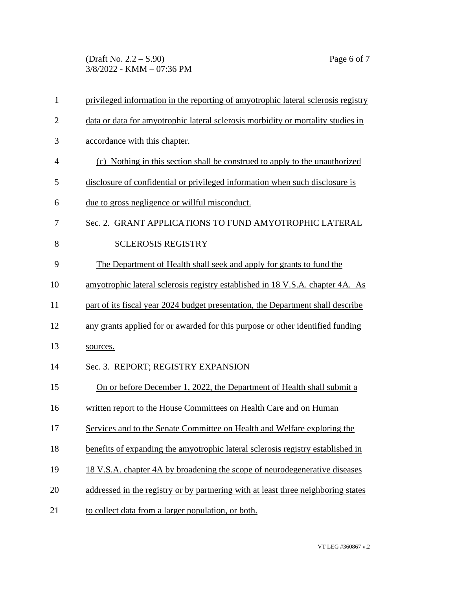(Draft No. 2.2 – S.90) Page 6 of 7 3/8/2022 - KMM – 07:36 PM

| 1              | privileged information in the reporting of amyotrophic lateral sclerosis registry |  |  |
|----------------|-----------------------------------------------------------------------------------|--|--|
| $\overline{2}$ | data or data for amyotrophic lateral sclerosis morbidity or mortality studies in  |  |  |
| 3              | accordance with this chapter.                                                     |  |  |
| $\overline{4}$ | (c) Nothing in this section shall be construed to apply to the unauthorized       |  |  |
| 5              | disclosure of confidential or privileged information when such disclosure is      |  |  |
| 6              | <u>due to gross negligence or willful misconduct.</u>                             |  |  |
| 7              | Sec. 2. GRANT APPLICATIONS TO FUND AMYOTROPHIC LATERAL                            |  |  |
| 8              | <b>SCLEROSIS REGISTRY</b>                                                         |  |  |
| 9              | The Department of Health shall seek and apply for grants to fund the              |  |  |
| 10             | amyotrophic lateral sclerosis registry established in 18 V.S.A. chapter 4A. As    |  |  |
| 11             | part of its fiscal year 2024 budget presentation, the Department shall describe   |  |  |
| 12             | any grants applied for or awarded for this purpose or other identified funding    |  |  |
| 13             | sources.                                                                          |  |  |
| 14             | Sec. 3. REPORT; REGISTRY EXPANSION                                                |  |  |
| 15             | On or before December 1, 2022, the Department of Health shall submit a            |  |  |
| 16             | written report to the House Committees on Health Care and on Human                |  |  |
| 17             | Services and to the Senate Committee on Health and Welfare exploring the          |  |  |
| 18             | benefits of expanding the amyotrophic lateral sclerosis registry established in   |  |  |
| 19             | 18 V.S.A. chapter 4A by broadening the scope of neurodegenerative diseases        |  |  |
| 20             | addressed in the registry or by partnering with at least three neighboring states |  |  |
| 21             | to collect data from a larger population, or both.                                |  |  |